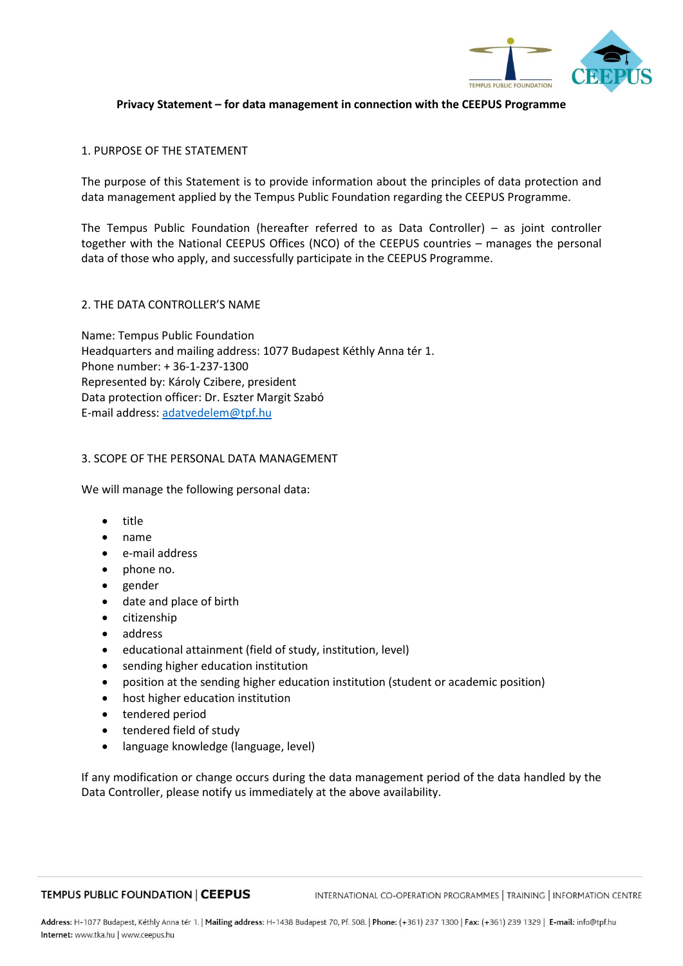

# **Privacy Statement – for data management in connection with the CEEPUS Programme**

#### 1. PURPOSE OF THE STATEMENT

The purpose of this Statement is to provide information about the principles of data protection and data management applied by the Tempus Public Foundation regarding the CEEPUS Programme.

The Tempus Public Foundation (hereafter referred to as Data Controller) – as joint controller together with the National CEEPUS Offices (NCO) of the CEEPUS countries – manages the personal data of those who apply, and successfully participate in the CEEPUS Programme.

# 2. THE DATA CONTROLLER'S NAME

Name: Tempus Public Foundation Headquarters and mailing address: 1077 Budapest Kéthly Anna tér 1. Phone number: + 36-1-237-1300 Represented by: Károly Czibere, president Data protection officer: Dr. Eszter Margit Szabó E-mail address[: adatvedelem@tpf.hu](mailto:adatvedelem@tpf.hu)

#### 3. SCOPE OF THE PERSONAL DATA MANAGEMENT

We will manage the following personal data:

- title
- name
- e-mail address
- phone no.
- gender
- date and place of birth
- citizenship
- address
- educational attainment (field of study, institution, level)
- sending higher education institution
- position at the sending higher education institution (student or academic position)
- host higher education institution
- tendered period
- tendered field of study
- language knowledge (language, level)

If any modification or change occurs during the data management period of the data handled by the Data Controller, please notify us immediately at the above availability.

#### **TEMPUS PUBLIC FOUNDATION | CEEPUS**

INTERNATIONAL CO-OPERATION PROGRAMMES | TRAINING | INFORMATION CENTRE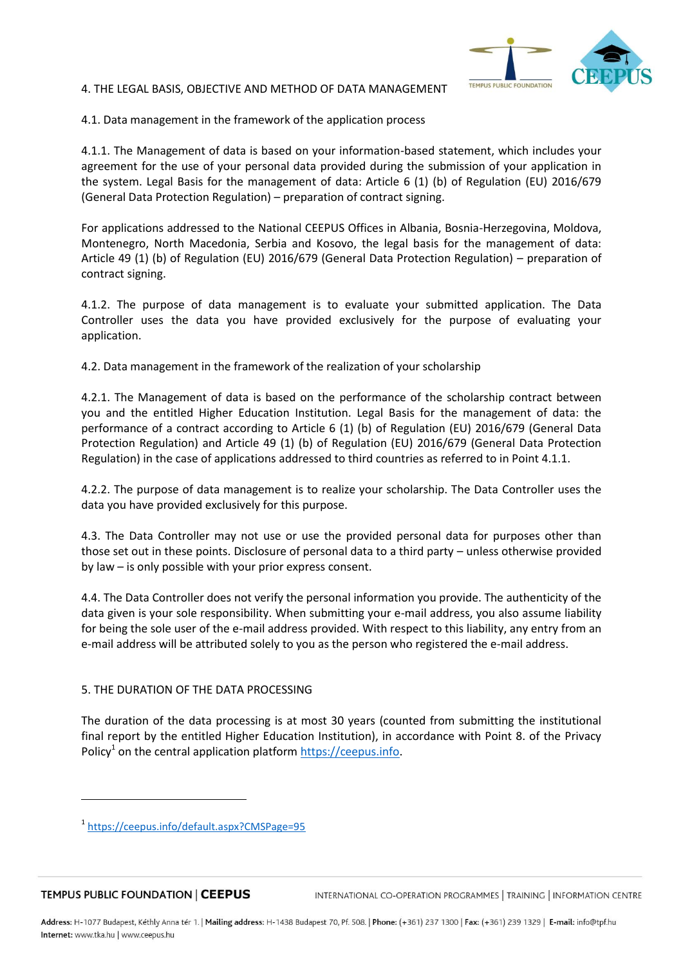# TEMPUS PUBLIC FOUNDATION

#### 4. THE LEGAL BASIS, OBJECTIVE AND METHOD OF DATA MANAGEMENT

4.1. Data management in the framework of the application process

4.1.1. The Management of data is based on your information-based statement, which includes your agreement for the use of your personal data provided during the submission of your application in the system. Legal Basis for the management of data: Article 6 (1) (b) of Regulation (EU) 2016/679 (General Data Protection Regulation) – preparation of contract signing.

For applications addressed to the National CEEPUS Offices in Albania, Bosnia-Herzegovina, Moldova, Montenegro, North Macedonia, Serbia and Kosovo, the legal basis for the management of data: Article 49 (1) (b) of Regulation (EU) 2016/679 (General Data Protection Regulation) – preparation of contract signing.

4.1.2. The purpose of data management is to evaluate your submitted application. The Data Controller uses the data you have provided exclusively for the purpose of evaluating your application.

4.2. Data management in the framework of the realization of your scholarship

4.2.1. The Management of data is based on the performance of the scholarship contract between you and the entitled Higher Education Institution. Legal Basis for the management of data: the performance of a contract according to Article 6 (1) (b) of Regulation (EU) 2016/679 (General Data Protection Regulation) and Article 49 (1) (b) of Regulation (EU) 2016/679 (General Data Protection Regulation) in the case of applications addressed to third countries as referred to in Point 4.1.1.

4.2.2. The purpose of data management is to realize your scholarship. The Data Controller uses the data you have provided exclusively for this purpose.

4.3. The Data Controller may not use or use the provided personal data for purposes other than those set out in these points. Disclosure of personal data to a third party – unless otherwise provided by law – is only possible with your prior express consent.

4.4. The Data Controller does not verify the personal information you provide. The authenticity of the data given is your sole responsibility. When submitting your e-mail address, you also assume liability for being the sole user of the e-mail address provided. With respect to this liability, any entry from an e-mail address will be attributed solely to you as the person who registered the e-mail address.

# 5. THE DURATION OF THE DATA PROCESSING

The duration of the data processing is at most 30 years (counted from submitting the institutional final report by the entitled Higher Education Institution), in accordance with Point 8. of the Privacy Policy<sup>1</sup> on the central application platform [https://ceepus.info.](https://ceepus.info/)

l

<sup>1</sup> <https://ceepus.info/default.aspx?CMSPage=95>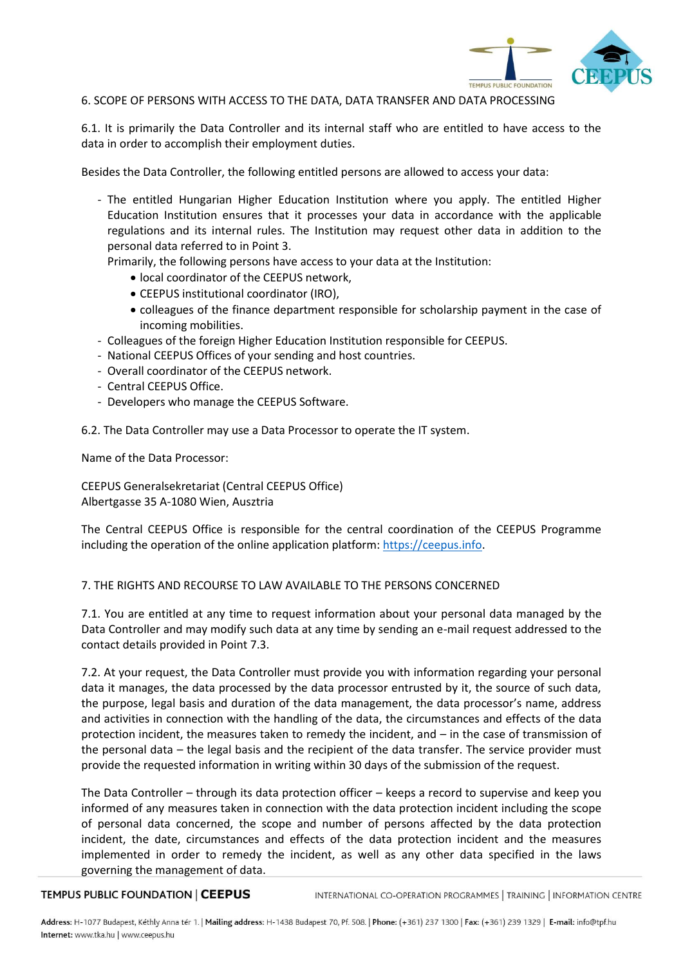

# 6. SCOPE OF PERSONS WITH ACCESS TO THE DATA, DATA TRANSFER AND DATA PROCESSING

6.1. It is primarily the Data Controller and its internal staff who are entitled to have access to the data in order to accomplish their employment duties.

Besides the Data Controller, the following entitled persons are allowed to access your data:

- The entitled Hungarian Higher Education Institution where you apply. The entitled Higher Education Institution ensures that it processes your data in accordance with the applicable regulations and its internal rules. The Institution may request other data in addition to the personal data referred to in Point 3.

Primarily, the following persons have access to your data at the Institution:

- local coordinator of the CEEPUS network,
- CEEPUS institutional coordinator (IRO),
- colleagues of the finance department responsible for scholarship payment in the case of incoming mobilities.
- Colleagues of the foreign Higher Education Institution responsible for CEEPUS.
- National CEEPUS Offices of your sending and host countries.
- Overall coordinator of the CEEPUS network.
- Central CEEPUS Office.
- Developers who manage the CEEPUS Software.

6.2. The Data Controller may use a Data Processor to operate the IT system.

Name of the Data Processor:

CEEPUS Generalsekretariat (Central CEEPUS Office) Albertgasse 35 A-1080 Wien, Ausztria

The Central CEEPUS Office is responsible for the central coordination of the CEEPUS Programme including the operation of the online application platform[: https://ceepus.info.](https://ceepus.info/)

# 7. THE RIGHTS AND RECOURSE TO LAW AVAILABLE TO THE PERSONS CONCERNED

7.1. You are entitled at any time to request information about your personal data managed by the Data Controller and may modify such data at any time by sending an e-mail request addressed to the contact details provided in Point 7.3.

7.2. At your request, the Data Controller must provide you with information regarding your personal data it manages, the data processed by the data processor entrusted by it, the source of such data, the purpose, legal basis and duration of the data management, the data processor's name, address and activities in connection with the handling of the data, the circumstances and effects of the data protection incident, the measures taken to remedy the incident, and – in the case of transmission of the personal data – the legal basis and the recipient of the data transfer. The service provider must provide the requested information in writing within 30 days of the submission of the request.

The Data Controller – through its data protection officer – keeps a record to supervise and keep you informed of any measures taken in connection with the data protection incident including the scope of personal data concerned, the scope and number of persons affected by the data protection incident, the date, circumstances and effects of the data protection incident and the measures implemented in order to remedy the incident, as well as any other data specified in the laws governing the management of data.

#### TEMPUS PUBLIC FOUNDATION | CEEPUS